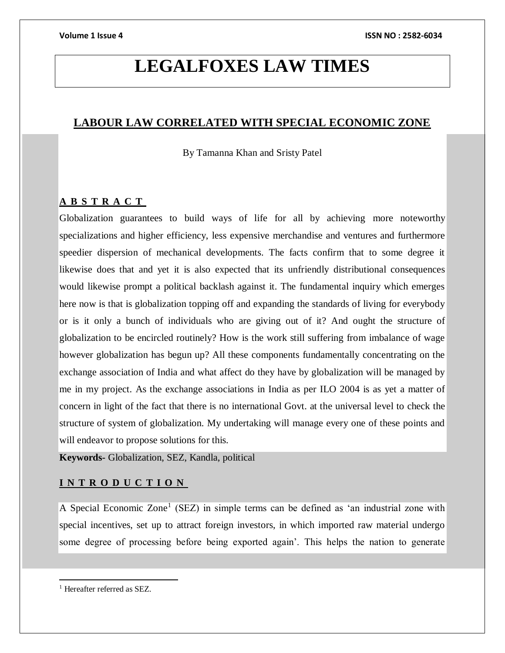# **LEGALFOXES LAW TIMES**

# **LABOUR LAW CORRELATED WITH SPECIAL ECONOMIC ZONE**

By Tamanna Khan and Sristy Patel

### **A B S T R A C T**

Globalization guarantees to build ways of life for all by achieving more noteworthy specializations and higher efficiency, less expensive merchandise and ventures and furthermore speedier dispersion of mechanical developments. The facts confirm that to some degree it likewise does that and yet it is also expected that its unfriendly distributional consequences would likewise prompt a political backlash against it. The fundamental inquiry which emerges here now is that is globalization topping off and expanding the standards of living for everybody or is it only a bunch of individuals who are giving out of it? And ought the structure of globalization to be encircled routinely? How is the work still suffering from imbalance of wage however globalization has begun up? All these components fundamentally concentrating on the exchange association of India and what affect do they have by globalization will be managed by me in my project. As the exchange associations in India as per ILO 2004 is as yet a matter of concern in light of the fact that there is no international Govt. at the universal level to check the structure of system of globalization. My undertaking will manage every one of these points and will endeavor to propose solutions for this.

**Keywords-** Globalization, SEZ, Kandla, political

## **I N T R O D U C T I O N**

A Special Economic Zone<sup>1</sup> (SEZ) in simple terms can be defined as 'an industrial zone with special incentives, set up to attract foreign investors, in which imported raw material undergo some degree of processing before being exported again'. This helps the nation to generate

 $\overline{a}$ <sup>1</sup> Hereafter referred as SEZ.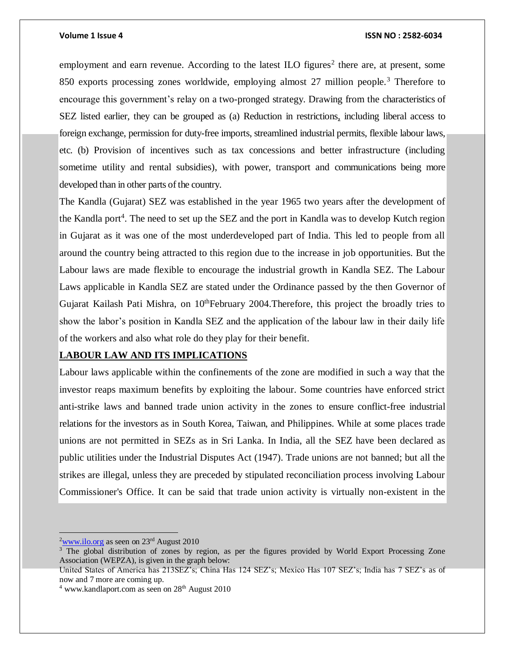employment and earn revenue. According to the latest ILO figures<sup>2</sup> there are, at present, some 850 exports processing zones worldwide, employing almost 27 million people.<sup>3</sup> Therefore to encourage this government's relay on a two-pronged strategy. Drawing from the characteristics of SEZ listed earlier, they can be grouped as (a) Reduction in restrictions, including liberal access to foreign exchange, permission for duty-free imports, streamlined industrial permits, flexible labour laws, etc. (b) Provision of incentives such as tax concessions and better infrastructure (including sometime utility and rental subsidies), with power, transport and communications being more developed than in other parts of the country.

The Kandla (Gujarat) SEZ was established in the year 1965 two years after the development of the Kandla port<sup>4</sup>. The need to set up the SEZ and the port in Kandla was to develop Kutch region in Gujarat as it was one of the most underdeveloped part of India. This led to people from all around the country being attracted to this region due to the increase in job opportunities. But the Labour laws are made flexible to encourage the industrial growth in Kandla SEZ. The Labour Laws applicable in Kandla SEZ are stated under the Ordinance passed by the then Governor of Gujarat Kailash Pati Mishra, on  $10^{th}$ February 2004. Therefore, this project the broadly tries to show the labor's position in Kandla SEZ and the application of the labour law in their daily life of the workers and also what role do they play for their benefit.

### **LABOUR LAW AND ITS IMPLICATIONS**

Labour laws applicable within the confinements of the zone are modified in such a way that the investor reaps maximum benefits by exploiting the labour. Some countries have enforced strict anti-strike laws and banned trade union activity in the zones to ensure conflict-free industrial relations for the investors as in South Korea, Taiwan, and Philippines. While at some places trade unions are not permitted in SEZs as in Sri Lanka. In India, all the SEZ have been declared as public utilities under the Industrial Disputes Act (1947). Trade unions are not banned; but all the strikes are illegal, unless they are preceded by stipulated reconciliation process involving Labour Commissioner's Office. It can be said that trade union activity is virtually non-existent in the

 $2$ [www.ilo.org](http://www.ilo.org/) as seen on 23<sup>rd</sup> August 2010

<sup>&</sup>lt;sup>3</sup> The global distribution of zones by region, as per the figures provided by World Export Processing Zone Association (WEPZA), is given in the graph below:

United States of America has 213SEZ's; China Has 124 SEZ's; Mexico Has 107 SEZ's; India has 7 SEZ's as of now and 7 more are coming up.

 $4$  www.kandlaport.com as seen on  $28<sup>th</sup>$  August 2010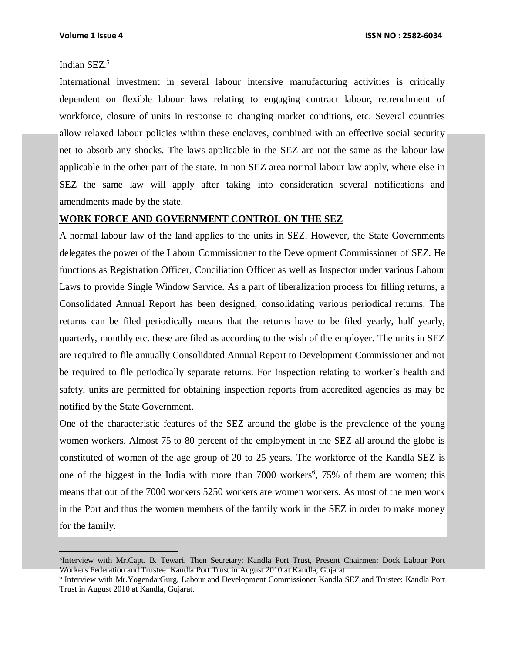### Indian SEZ. 5

International investment in several labour intensive manufacturing activities is critically dependent on flexible labour laws relating to engaging contract labour, retrenchment of workforce, closure of units in response to changing market conditions, etc. Several countries allow relaxed labour policies within these enclaves, combined with an effective social security net to absorb any shocks. The laws applicable in the SEZ are not the same as the labour law applicable in the other part of the state. In non SEZ area normal labour law apply, where else in SEZ the same law will apply after taking into consideration several notifications and amendments made by the state.

### **WORK FORCE AND GOVERNMENT CONTROL ON THE SEZ**

A normal labour law of the land applies to the units in SEZ. However, the State Governments delegates the power of the Labour Commissioner to the Development Commissioner of SEZ. He functions as Registration Officer, Conciliation Officer as well as Inspector under various Labour Laws to provide Single Window Service. As a part of liberalization process for filling returns, a Consolidated Annual Report has been designed, consolidating various periodical returns. The returns can be filed periodically means that the returns have to be filed yearly, half yearly, quarterly, monthly etc. these are filed as according to the wish of the employer. The units in SEZ are required to file annually Consolidated Annual Report to Development Commissioner and not be required to file periodically separate returns. For Inspection relating to worker's health and safety, units are permitted for obtaining inspection reports from accredited agencies as may be notified by the State Government.

One of the characteristic features of the SEZ around the globe is the prevalence of the young women workers. Almost 75 to 80 percent of the employment in the SEZ all around the globe is constituted of women of the age group of 20 to 25 years. The workforce of the Kandla SEZ is one of the biggest in the India with more than 7000 workers<sup>6</sup>, 75% of them are women; this means that out of the 7000 workers 5250 workers are women workers. As most of the men work in the Port and thus the women members of the family work in the SEZ in order to make money for the family.

<sup>&</sup>lt;sup>5</sup>Interview with Mr.Capt. B. Tewari, Then Secretary: Kandla Port Trust, Present Chairmen: Dock Labour Port Workers Federation and Trustee: Kandla Port Trust in August 2010 at Kandla, Gujarat.

<sup>&</sup>lt;sup>6</sup> Interview with Mr. YogendarGurg, Labour and Development Commissioner Kandla SEZ and Trustee: Kandla Port Trust in August 2010 at Kandla, Gujarat.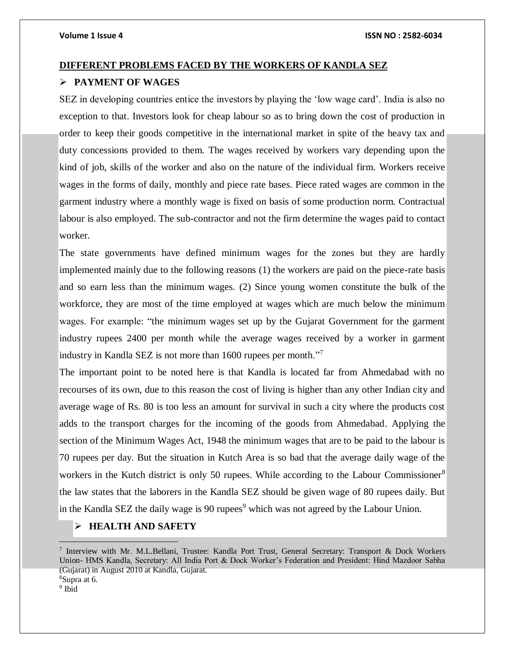# **DIFFERENT PROBLEMS FACED BY THE WORKERS OF KANDLA SEZ PAYMENT OF WAGES**

SEZ in developing countries entice the investors by playing the 'low wage card'. India is also no exception to that. Investors look for cheap labour so as to bring down the cost of production in order to keep their goods competitive in the international market in spite of the heavy tax and duty concessions provided to them. The wages received by workers vary depending upon the kind of job, skills of the worker and also on the nature of the individual firm. Workers receive wages in the forms of daily, monthly and piece rate bases. Piece rated wages are common in the garment industry where a monthly wage is fixed on basis of some production norm. Contractual labour is also employed. The sub-contractor and not the firm determine the wages paid to contact worker.

The state governments have defined minimum wages for the zones but they are hardly implemented mainly due to the following reasons (1) the workers are paid on the piece-rate basis and so earn less than the minimum wages. (2) Since young women constitute the bulk of the workforce, they are most of the time employed at wages which are much below the minimum wages. For example: "the minimum wages set up by the Gujarat Government for the garment industry rupees 2400 per month while the average wages received by a worker in garment industry in Kandla SEZ is not more than 1600 rupees per month."<sup>7</sup>

The important point to be noted here is that Kandla is located far from Ahmedabad with no recourses of its own, due to this reason the cost of living is higher than any other Indian city and average wage of Rs. 80 is too less an amount for survival in such a city where the products cost adds to the transport charges for the incoming of the goods from Ahmedabad. Applying the section of the Minimum Wages Act, 1948 the minimum wages that are to be paid to the labour is 70 rupees per day. But the situation in Kutch Area is so bad that the average daily wage of the workers in the Kutch district is only 50 rupees. While according to the Labour Commissioner<sup>8</sup> the law states that the laborers in the Kandla SEZ should be given wage of 80 rupees daily. But in the Kandla SEZ the daily wage is 90 rupees<sup>9</sup> which was not agreed by the Labour Union.

## **HEALTH AND SAFETY**

<sup>8</sup>Supra at 6. <sup>9</sup> Ibid

<sup>7</sup> Interview with Mr. M.L.Bellani, Trustee: Kandla Port Trust, General Secretary: Transport & Dock Workers Union- HMS Kandla, Secretary: All India Port & Dock Worker's Federation and President: Hind Mazdoor Sabha (Gujarat) in August 2010 at Kandla, Gujarat.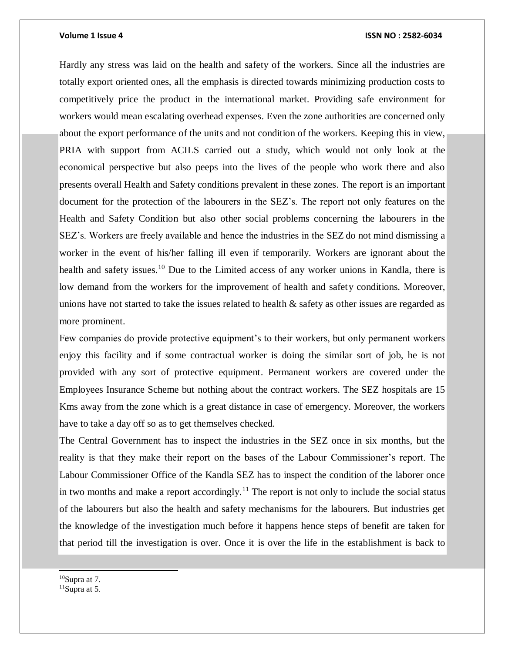Hardly any stress was laid on the health and safety of the workers. Since all the industries are totally export oriented ones, all the emphasis is directed towards minimizing production costs to competitively price the product in the international market. Providing safe environment for workers would mean escalating overhead expenses. Even the zone authorities are concerned only about the export performance of the units and not condition of the workers. Keeping this in view, PRIA with support from ACILS carried out a study, which would not only look at the economical perspective but also peeps into the lives of the people who work there and also presents overall Health and Safety conditions prevalent in these zones. The report is an important document for the protection of the labourers in the SEZ's. The report not only features on the Health and Safety Condition but also other social problems concerning the labourers in the SEZ's. Workers are freely available and hence the industries in the SEZ do not mind dismissing a worker in the event of his/her falling ill even if temporarily. Workers are ignorant about the health and safety issues.<sup>10</sup> Due to the Limited access of any worker unions in Kandla, there is low demand from the workers for the improvement of health and safety conditions. Moreover, unions have not started to take the issues related to health  $\&$  safety as other issues are regarded as more prominent.

Few companies do provide protective equipment's to their workers, but only permanent workers enjoy this facility and if some contractual worker is doing the similar sort of job, he is not provided with any sort of protective equipment. Permanent workers are covered under the Employees Insurance Scheme but nothing about the contract workers. The SEZ hospitals are 15 Kms away from the zone which is a great distance in case of emergency. Moreover, the workers have to take a day off so as to get themselves checked.

The Central Government has to inspect the industries in the SEZ once in six months, but the reality is that they make their report on the bases of the Labour Commissioner's report. The Labour Commissioner Office of the Kandla SEZ has to inspect the condition of the laborer once in two months and make a report accordingly.<sup>11</sup> The report is not only to include the social status of the labourers but also the health and safety mechanisms for the labourers. But industries get the knowledge of the investigation much before it happens hence steps of benefit are taken for that period till the investigation is over. Once it is over the life in the establishment is back to

 $10$ Supra at 7.

l

 $11$ Supra at 5.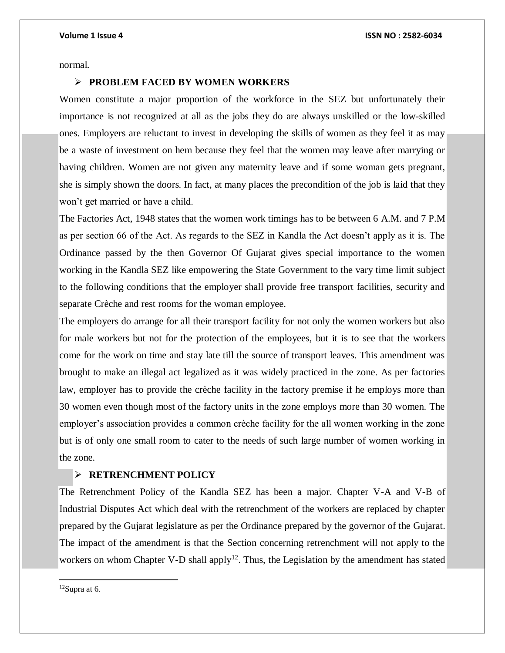normal.

### **PROBLEM FACED BY WOMEN WORKERS**

Women constitute a major proportion of the workforce in the SEZ but unfortunately their importance is not recognized at all as the jobs they do are always unskilled or the low-skilled ones. Employers are reluctant to invest in developing the skills of women as they feel it as  $\max$ be a waste of investment on hem because they feel that the women may leave after marrying or having children. Women are not given any maternity leave and if some woman gets pregnant, she is simply shown the doors. In fact, at many places the precondition of the job is laid that they won't get married or have a child.

The Factories Act, 1948 states that the women work timings has to be between 6 A.M. and 7 P.M as per section 66 of the Act. As regards to the SEZ in Kandla the Act doesn't apply as it is. The Ordinance passed by the then Governor Of Gujarat gives special importance to the women working in the Kandla SEZ like empowering the State Government to the vary time limit subject to the following conditions that the employer shall provide free transport facilities, security and separate Crèche and rest rooms for the woman employee.

The employers do arrange for all their transport facility for not only the women workers but also for male workers but not for the protection of the employees, but it is to see that the workers come for the work on time and stay late till the source of transport leaves. This amendment was brought to make an illegal act legalized as it was widely practiced in the zone. As per factories law, employer has to provide the crèche facility in the factory premise if he employs more than 30 women even though most of the factory units in the zone employs more than 30 women. The employer's association provides a common crèche facility for the all women working in the zone but is of only one small room to cater to the needs of such large number of women working in the zone.

### **RETRENCHMENT POLICY**

The Retrenchment Policy of the Kandla SEZ has been a major. Chapter V-A and V-B of Industrial Disputes Act which deal with the retrenchment of the workers are replaced by chapter prepared by the Gujarat legislature as per the Ordinance prepared by the governor of the Gujarat. The impact of the amendment is that the Section concerning retrenchment will not apply to the workers on whom Chapter V-D shall apply<sup>12</sup>. Thus, the Legislation by the amendment has stated

 $12$ Supra at 6.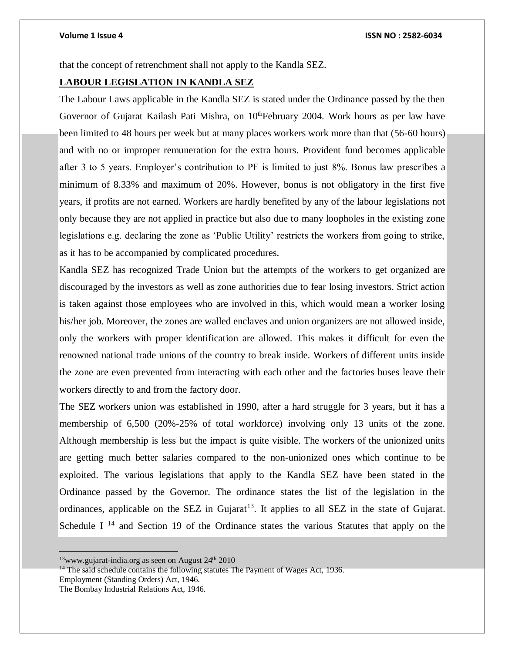that the concept of retrenchment shall not apply to the Kandla SEZ.

### **LABOUR LEGISLATION IN KANDLA SEZ**

The Labour Laws applicable in the Kandla SEZ is stated under the Ordinance passed by the then Governor of Gujarat Kailash Pati Mishra, on 10<sup>th</sup>February 2004. Work hours as per law have been limited to 48 hours per week but at many places workers work more than that (56-60 hours) and with no or improper remuneration for the extra hours. Provident fund becomes applicable after 3 to 5 years. Employer's contribution to PF is limited to just 8%. Bonus law prescribes a minimum of 8.33% and maximum of 20%. However, bonus is not obligatory in the first five years, if profits are not earned. Workers are hardly benefited by any of the labour legislations not only because they are not applied in practice but also due to many loopholes in the existing zone legislations e.g. declaring the zone as 'Public Utility' restricts the workers from going to strike, as it has to be accompanied by complicated procedures.

Kandla SEZ has recognized Trade Union but the attempts of the workers to get organized are discouraged by the investors as well as zone authorities due to fear losing investors. Strict action is taken against those employees who are involved in this, which would mean a worker losing his/her job. Moreover, the zones are walled enclaves and union organizers are not allowed inside, only the workers with proper identification are allowed. This makes it difficult for even the renowned national trade unions of the country to break inside. Workers of different units inside the zone are even prevented from interacting with each other and the factories buses leave their workers directly to and from the factory door.

The SEZ workers union was established in 1990, after a hard struggle for 3 years, but it has a membership of 6,500 (20%-25% of total workforce) involving only 13 units of the zone. Although membership is less but the impact is quite visible. The workers of the unionized units are getting much better salaries compared to the non-unionized ones which continue to be exploited. The various legislations that apply to the Kandla SEZ have been stated in the Ordinance passed by the Governor. The ordinance states the list of the legislation in the ordinances, applicable on the SEZ in Gujarat<sup>13</sup>. It applies to all SEZ in the state of Gujarat. Schedule I<sup>14</sup> and Section 19 of the Ordinance states the various Statutes that apply on the

Employment (Standing Orders) Act, 1946.

The Bombay Industrial Relations Act, 1946.

 $13$ www.gujarat-india.org as seen on August  $24<sup>th</sup> 2010$ 

<sup>&</sup>lt;sup>14</sup> The said schedule contains the following statutes The Payment of Wages Act, 1936.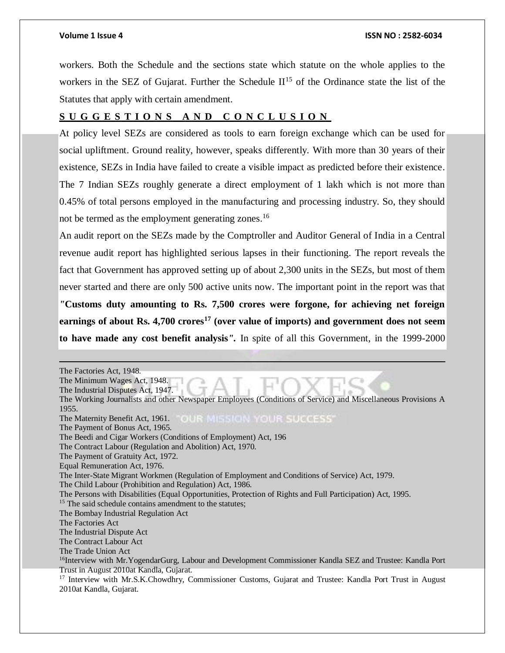workers. Both the Schedule and the sections state which statute on the whole applies to the workers in the SEZ of Gujarat. Further the Schedule  $II<sup>15</sup>$  of the Ordinance state the list of the Statutes that apply with certain amendment.

### **S U G G E S T I O N S A N D C O N C L U S I O N**

At policy level SEZs are considered as tools to earn foreign exchange which can be used for social upliftment. Ground reality, however, speaks differently. With more than 30 years of their existence, SEZs in India have failed to create a visible impact as predicted before their existence. The 7 Indian SEZs roughly generate a direct employment of 1 lakh which is not more than 0.45% of total persons employed in the manufacturing and processing industry. So, they should not be termed as the employment generating zones.<sup>16</sup>

An audit report on the SEZs made by the Comptroller and Auditor General of India in a Central revenue audit report has highlighted serious lapses in their functioning. The report reveals the fact that Government has approved setting up of about 2,300 units in the SEZs, but most of them never started and there are only 500 active units now. The important point in the report was that *"***Customs duty amounting to Rs. 7,500 crores were forgone, for achieving net foreign earnings of about Rs. 4,700 crores<sup>17</sup> (over value of imports) and government does not seem to have made any cost benefit analysis***".* In spite of all this Government, in the 1999-2000

 The Factories Act, 1948. The Minimum Wages Act, 1948. The Industrial Disputes Act, 1947. The Working Journalists and other Newspaper Employees (Conditions of Service) and Miscellaneous Provisions A 1955. The Maternity Benefit Act, 1961. CLUR MIESICIN YOUR SUCCESS' The Payment of Bonus Act, 1965. The Beedi and Cigar Workers (Conditions of Employment) Act, 196 The Contract Labour (Regulation and Abolition) Act, 1970. The Payment of Gratuity Act, 1972. Equal Remuneration Act, 1976. The Inter-State Migrant Workmen (Regulation of Employment and Conditions of Service) Act, 1979. The Child Labour (Prohibition and Regulation) Act, 1986. The Persons with Disabilities (Equal Opportunities, Protection of Rights and Full Participation) Act, 1995. <sup>15</sup> The said schedule contains amendment to the statutes; The Bombay Industrial Regulation Act The Factories Act The Industrial Dispute Act The Contract Labour Act The Trade Union Act <sup>16</sup>Interview with Mr.YogendarGurg, Labour and Development Commissioner Kandla SEZ and Trustee: Kandla Port Trust in August 2010at Kandla, Gujarat. <sup>17</sup> Interview with Mr.S.K.Chowdhry, Commissioner Customs, Gujarat and Trustee: Kandla Port Trust in August 2010at Kandla, Gujarat.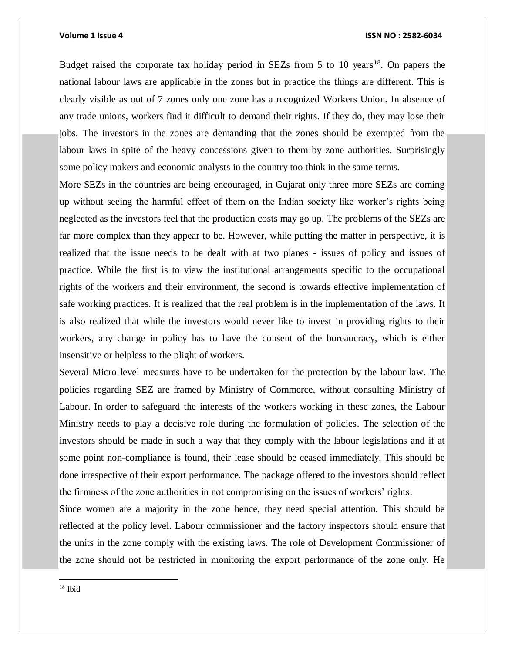Budget raised the corporate tax holiday period in SEZs from 5 to 10 years<sup>18</sup>. On papers the national labour laws are applicable in the zones but in practice the things are different. This is clearly visible as out of 7 zones only one zone has a recognized Workers Union. In absence of any trade unions, workers find it difficult to demand their rights. If they do, they may lose their jobs. The investors in the zones are demanding that the zones should be exempted from the labour laws in spite of the heavy concessions given to them by zone authorities. Surprisingly some policy makers and economic analysts in the country too think in the same terms.

More SEZs in the countries are being encouraged, in Gujarat only three more SEZs are coming up without seeing the harmful effect of them on the Indian society like worker's rights being neglected as the investors feel that the production costs may go up. The problems of the SEZs are far more complex than they appear to be. However, while putting the matter in perspective, it is realized that the issue needs to be dealt with at two planes - issues of policy and issues of practice. While the first is to view the institutional arrangements specific to the occupational rights of the workers and their environment, the second is towards effective implementation of safe working practices. It is realized that the real problem is in the implementation of the laws. It is also realized that while the investors would never like to invest in providing rights to their workers, any change in policy has to have the consent of the bureaucracy, which is either insensitive or helpless to the plight of workers.

Several Micro level measures have to be undertaken for the protection by the labour law. The policies regarding SEZ are framed by Ministry of Commerce, without consulting Ministry of Labour. In order to safeguard the interests of the workers working in these zones, the Labour Ministry needs to play a decisive role during the formulation of policies. The selection of the investors should be made in such a way that they comply with the labour legislations and if at some point non-compliance is found, their lease should be ceased immediately. This should be done irrespective of their export performance. The package offered to the investors should reflect the firmness of the zone authorities in not compromising on the issues of workers' rights.

Since women are a majority in the zone hence, they need special attention. This should be reflected at the policy level. Labour commissioner and the factory inspectors should ensure that the units in the zone comply with the existing laws. The role of Development Commissioner of the zone should not be restricted in monitoring the export performance of the zone only. He

<sup>18</sup> Ibid